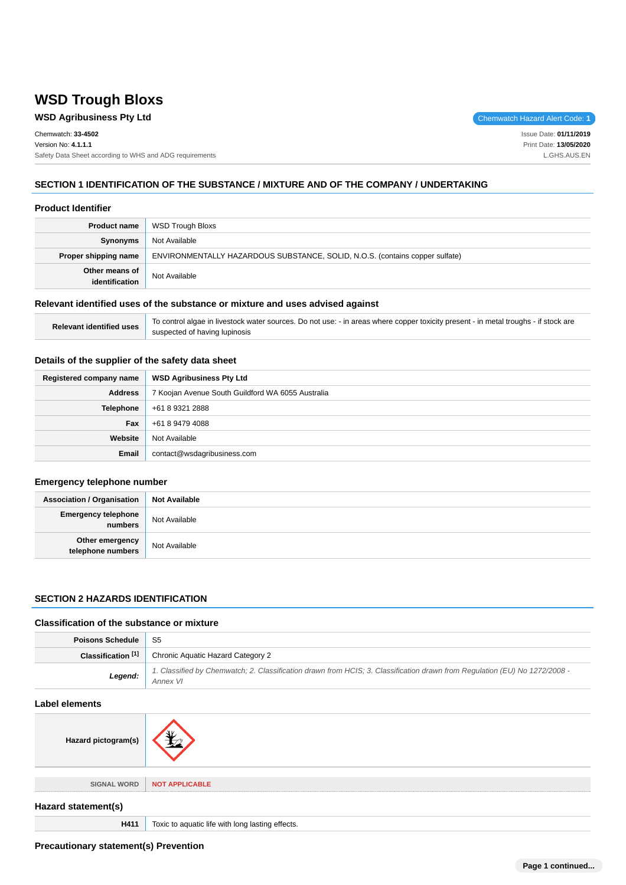# **WSD Trough Bloxs**

### **WSD Agribusiness Pty Ltd Chemwatch Hazard Alert Code: 1**

Chemwatch: **33-4502** Version No: **4.1.1.1** Safety Data Sheet according to WHS and ADG requirements

Issue Date: **01/11/2019** Print Date: **13/05/2020** L.GHS.AUS.EN

### **SECTION 1 IDENTIFICATION OF THE SUBSTANCE / MIXTURE AND OF THE COMPANY / UNDERTAKING**

#### **Product Identifier**

| <b>Product name</b>              | WSD Trough Bloxs                                                             |
|----------------------------------|------------------------------------------------------------------------------|
| Synonyms                         | Not Available                                                                |
| Proper shipping name             | ENVIRONMENTALLY HAZARDOUS SUBSTANCE, SOLID, N.O.S. (contains copper sulfate) |
| Other means of<br>identification | Not Available                                                                |

### **Relevant identified uses of the substance or mixture and uses advised against**

| Relevant identified uses | To control algae in livestock water sources. Do not use: - in areas where copper toxicity present - in metal troughs - if stock are |
|--------------------------|-------------------------------------------------------------------------------------------------------------------------------------|
|                          | suspected of having lupinosis                                                                                                       |

### **Details of the supplier of the safety data sheet**

| Registered company name | <b>WSD Agribusiness Pty Ltd</b>                   |
|-------------------------|---------------------------------------------------|
| <b>Address</b>          | 7 Koojan Avenue South Guildford WA 6055 Australia |
| <b>Telephone</b>        | +61 8 9321 2888                                   |
| Fax                     | +61 8 9479 4088                                   |
| Website                 | Not Available                                     |
| Email                   | contact@wsdagribusiness.com                       |

### **Emergency telephone number**

| <b>Association / Organisation</b>              | <b>Not Available</b> |
|------------------------------------------------|----------------------|
| <b>Emergency telephone</b><br><b> </b> numbers | Not Available        |
| Other emergency<br>telephone numbers           | Not Available        |

#### **SECTION 2 HAZARDS IDENTIFICATION**

#### **Classification of the substance or mixture**

| <b>Poisons Schedule</b> S5 |                                                                                                                                        |
|----------------------------|----------------------------------------------------------------------------------------------------------------------------------------|
| Classification [1]         | Chronic Aquatic Hazard Category 2                                                                                                      |
| Legend:                    | 1. Classified by Chemwatch; 2. Classification drawn from HCIS; 3. Classification drawn from Regulation (EU) No 1272/2008 -<br>Annex VI |

#### **Label elements**

| Hazard pictogram(s) |                                                  |
|---------------------|--------------------------------------------------|
| <b>SIGNAL WORD</b>  | <b>NOT APPLICABLE</b>                            |
| Hazard statement(s) |                                                  |
| H411                | Toxic to aquatic life with long lasting effects. |

**Precautionary statement(s) Prevention**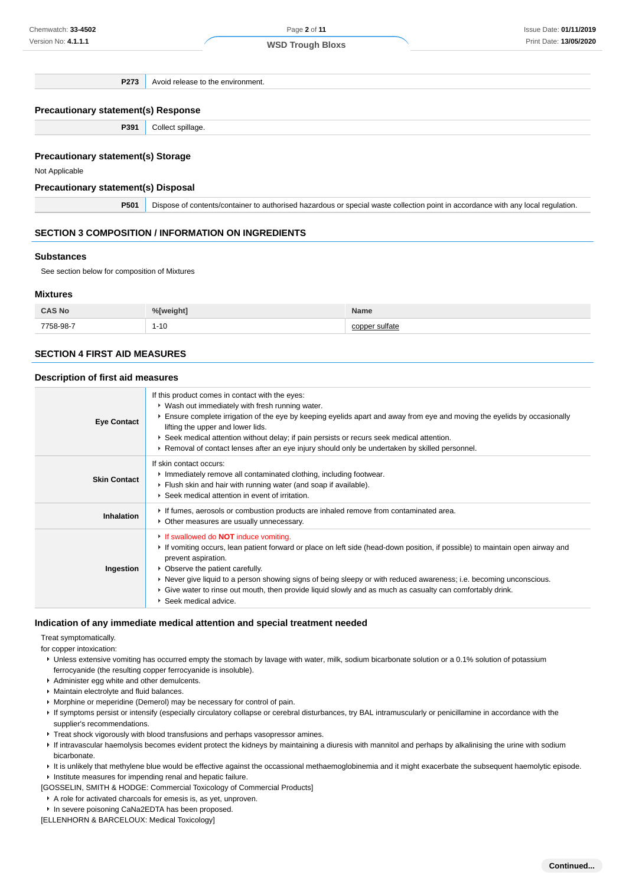**P273** Avoid release to the environment.

#### **Precautionary statement(s) Response**

**P391** Collect spillage.

#### **Precautionary statement(s) Storage**

Not Applicable

#### **Precautionary statement(s) Disposal**

**P501** Dispose of contents/container to authorised hazardous or special waste collection point in accordance with any local regulation.

#### **SECTION 3 COMPOSITION / INFORMATION ON INGREDIENTS**

#### **Substances**

See section below for composition of Mixtures

#### **Mixtures**

| <b>CAS No</b>  | slweight s | Name    |
|----------------|------------|---------|
| 7758-98-7<br>. | 1-10       | ≘ulfate |

#### **SECTION 4 FIRST AID MEASURES**

#### **Description of first aid measures**

| <b>Eye Contact</b>  | If this product comes in contact with the eyes:<br>• Wash out immediately with fresh running water.<br>Ensure complete irrigation of the eye by keeping eyelids apart and away from eye and moving the eyelids by occasionally<br>lifting the upper and lower lids.<br>► Seek medical attention without delay; if pain persists or recurs seek medical attention.<br>► Removal of contact lenses after an eye injury should only be undertaken by skilled personnel.                                |
|---------------------|-----------------------------------------------------------------------------------------------------------------------------------------------------------------------------------------------------------------------------------------------------------------------------------------------------------------------------------------------------------------------------------------------------------------------------------------------------------------------------------------------------|
| <b>Skin Contact</b> | If skin contact occurs:<br>Inmediately remove all contaminated clothing, including footwear.<br>Flush skin and hair with running water (and soap if available).<br>Seek medical attention in event of irritation.                                                                                                                                                                                                                                                                                   |
| Inhalation          | If fumes, aerosols or combustion products are inhaled remove from contaminated area.<br>• Other measures are usually unnecessary.                                                                                                                                                                                                                                                                                                                                                                   |
| Ingestion           | If swallowed do <b>NOT</b> induce vomiting.<br>If vomiting occurs, lean patient forward or place on left side (head-down position, if possible) to maintain open airway and<br>prevent aspiration.<br>• Observe the patient carefully.<br>► Never give liquid to a person showing signs of being sleepy or with reduced awareness; i.e. becoming unconscious.<br>► Give water to rinse out mouth, then provide liquid slowly and as much as casualty can comfortably drink.<br>Seek medical advice. |

#### **Indication of any immediate medical attention and special treatment needed**

Treat symptomatically.

for copper intoxication:

- ▶ Unless extensive vomiting has occurred empty the stomach by lavage with water, milk, sodium bicarbonate solution or a 0.1% solution of potassium ferrocyanide (the resulting copper ferrocyanide is insoluble).
- Administer egg white and other demulcents.
- **Maintain electrolyte and fluid balances.**
- Morphine or meperidine (Demerol) may be necessary for control of pain.
- If symptoms persist or intensify (especially circulatory collapse or cerebral disturbances, try BAL intramuscularly or penicillamine in accordance with the supplier's recommendations.
- Treat shock vigorously with blood transfusions and perhaps vasopressor amines.
- If intravascular haemolysis becomes evident protect the kidneys by maintaining a diuresis with mannitol and perhaps by alkalinising the urine with sodium bicarbonate.
- It is unlikely that methylene blue would be effective against the occassional methaemoglobinemia and it might exacerbate the subsequent haemolytic episode. **Institute measures for impending renal and hepatic failure.**
- [GOSSELIN, SMITH & HODGE: Commercial Toxicology of Commercial Products]
- A role for activated charcoals for emesis is, as yet, unproven.
- In severe poisoning CaNa2EDTA has been proposed.

[ELLENHORN & BARCELOUX: Medical Toxicology]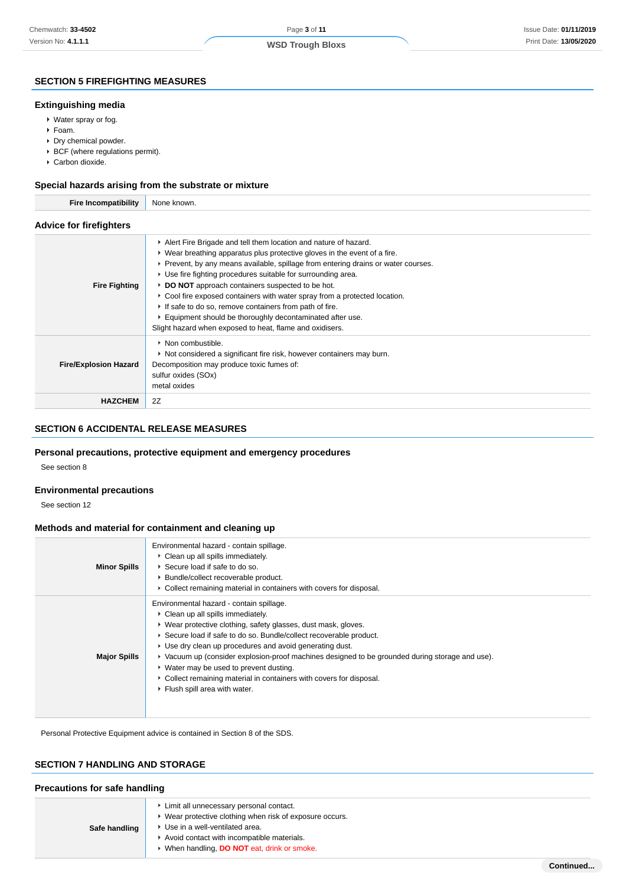**Continued...**

### **SECTION 5 FIREFIGHTING MEASURES**

#### **Extinguishing media**

- Water spray or fog.
- Foam.
- Dry chemical powder.
- BCF (where regulations permit).
- Carbon dioxide.

#### **Special hazards arising from the substrate or mixture**

| <b>Fire Incompatibility</b>    | None known.                                                                                                                                                                                                                                                                                                                                                                                                                                                                                                                                                                                                          |  |
|--------------------------------|----------------------------------------------------------------------------------------------------------------------------------------------------------------------------------------------------------------------------------------------------------------------------------------------------------------------------------------------------------------------------------------------------------------------------------------------------------------------------------------------------------------------------------------------------------------------------------------------------------------------|--|
| <b>Advice for firefighters</b> |                                                                                                                                                                                                                                                                                                                                                                                                                                                                                                                                                                                                                      |  |
| <b>Fire Fighting</b>           | Alert Fire Brigade and tell them location and nature of hazard.<br>► Wear breathing apparatus plus protective gloves in the event of a fire.<br>Prevent, by any means available, spillage from entering drains or water courses.<br>▶ Use fire fighting procedures suitable for surrounding area.<br>DO NOT approach containers suspected to be hot.<br>► Cool fire exposed containers with water spray from a protected location.<br>If safe to do so, remove containers from path of fire.<br>Equipment should be thoroughly decontaminated after use.<br>Slight hazard when exposed to heat, flame and oxidisers. |  |
| <b>Fire/Explosion Hazard</b>   | • Non combustible.<br>Not considered a significant fire risk, however containers may burn.<br>Decomposition may produce toxic fumes of:<br>sulfur oxides (SOx)<br>metal oxides                                                                                                                                                                                                                                                                                                                                                                                                                                       |  |
| <b>HAZCHEM</b>                 | 2Z                                                                                                                                                                                                                                                                                                                                                                                                                                                                                                                                                                                                                   |  |

### **SECTION 6 ACCIDENTAL RELEASE MEASURES**

### **Personal precautions, protective equipment and emergency procedures**

See section 8

#### **Environmental precautions**

See section 12

#### **Methods and material for containment and cleaning up**

| <b>Minor Spills</b> | Environmental hazard - contain spillage.<br>• Clean up all spills immediately.<br>▶ Secure load if safe to do so.<br>▶ Bundle/collect recoverable product.<br>• Collect remaining material in containers with covers for disposal.                                                                                                                                                                                                                                                                                                        |
|---------------------|-------------------------------------------------------------------------------------------------------------------------------------------------------------------------------------------------------------------------------------------------------------------------------------------------------------------------------------------------------------------------------------------------------------------------------------------------------------------------------------------------------------------------------------------|
| <b>Major Spills</b> | Environmental hazard - contain spillage.<br>• Clean up all spills immediately.<br>▶ Wear protective clothing, safety glasses, dust mask, gloves.<br>▶ Secure load if safe to do so. Bundle/collect recoverable product.<br>► Use dry clean up procedures and avoid generating dust.<br>▶ Vacuum up (consider explosion-proof machines designed to be grounded during storage and use).<br>▶ Water may be used to prevent dusting.<br>• Collect remaining material in containers with covers for disposal.<br>Flush spill area with water. |

Personal Protective Equipment advice is contained in Section 8 of the SDS.

### **SECTION 7 HANDLING AND STORAGE**

#### **Precautions for safe handling**

| Safe handling | Limit all unnecessary personal contact.<br>Wear protective clothing when risk of exposure occurs.<br>▶ Use in a well-ventilated area.<br>Avoid contact with incompatible materials.<br>When handling, <b>DO NOT</b> eat, drink or smoke. |
|---------------|------------------------------------------------------------------------------------------------------------------------------------------------------------------------------------------------------------------------------------------|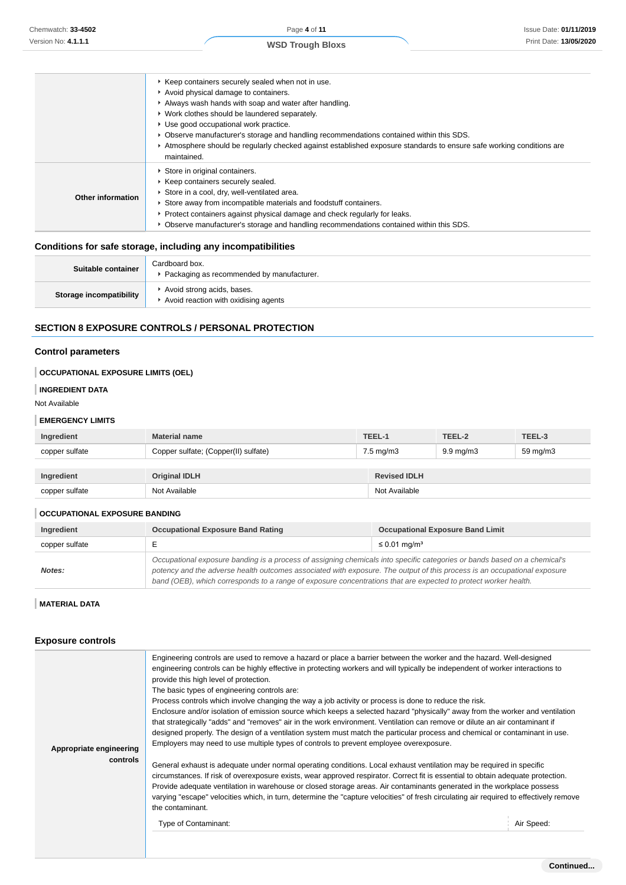|                   | ▶ Keep containers securely sealed when not in use.<br>Avoid physical damage to containers.<br>Always wash hands with soap and water after handling.<br>• Work clothes should be laundered separately.<br>Use good occupational work practice.<br>▶ Observe manufacturer's storage and handling recommendations contained within this SDS.<br>▶ Atmosphere should be regularly checked against established exposure standards to ensure safe working conditions are<br>maintained. |
|-------------------|-----------------------------------------------------------------------------------------------------------------------------------------------------------------------------------------------------------------------------------------------------------------------------------------------------------------------------------------------------------------------------------------------------------------------------------------------------------------------------------|
| Other information | Store in original containers.<br>▶ Keep containers securely sealed.<br>Store in a cool, dry, well-ventilated area.<br>Store away from incompatible materials and foodstuff containers.<br>► Protect containers against physical damage and check regularly for leaks.<br>▶ Observe manufacturer's storage and handling recommendations contained within this SDS.                                                                                                                 |

### **Conditions for safe storage, including any incompatibilities**

| Suitable container      | Cardboard box.<br>• Packaging as recommended by manufacturer.      |
|-------------------------|--------------------------------------------------------------------|
| Storage incompatibility | Avoid strong acids, bases.<br>Avoid reaction with oxidising agents |

### **SECTION 8 EXPOSURE CONTROLS / PERSONAL PROTECTION**

### **Control parameters**

### **OCCUPATIONAL EXPOSURE LIMITS (OEL)**

#### **INGREDIENT DATA**

Not Available

#### **EMERGENCY LIMITS**

| Ingredient     | <b>Material name</b>                 | TEEL-1               | TEEL-2             | TEEL-3   |
|----------------|--------------------------------------|----------------------|--------------------|----------|
| copper sulfate | Copper sulfate; (Copper(II) sulfate) | $7.5 \text{ mg/m}$ 3 | $9.9 \text{ mg/m}$ | 59 mg/m3 |
|                |                                      |                      |                    |          |
| Ingredient     | <b>Original IDLH</b>                 | <b>Revised IDLH</b>  |                    |          |
| copper sulfate | Not Available                        | Not Available        |                    |          |

#### **OCCUPATIONAL EXPOSURE BANDING**

| Ingredient     | <b>Occupational Exposure Band Rating</b>                                                                                                                                                                                                                                                                                                                                 | <b>Occupational Exposure Band Limit</b> |  |
|----------------|--------------------------------------------------------------------------------------------------------------------------------------------------------------------------------------------------------------------------------------------------------------------------------------------------------------------------------------------------------------------------|-----------------------------------------|--|
| copper sulfate |                                                                                                                                                                                                                                                                                                                                                                          | $\leq$ 0.01 mg/m <sup>3</sup>           |  |
| Notes:         | Occupational exposure banding is a process of assigning chemicals into specific categories or bands based on a chemical's<br>potency and the adverse health outcomes associated with exposure. The output of this process is an occupational exposure<br>band (OEB), which corresponds to a range of exposure concentrations that are expected to protect worker health. |                                         |  |

#### **MATERIAL DATA**

### **Exposure controls**

| Appropriate engineering<br>controls | Engineering controls are used to remove a hazard or place a barrier between the worker and the hazard. Well-designed<br>engineering controls can be highly effective in protecting workers and will typically be independent of worker interactions to<br>provide this high level of protection.<br>The basic types of engineering controls are:<br>Process controls which involve changing the way a job activity or process is done to reduce the risk.<br>Enclosure and/or isolation of emission source which keeps a selected hazard "physically" away from the worker and ventilation<br>that strategically "adds" and "removes" air in the work environment. Ventilation can remove or dilute an air contaminant if<br>designed properly. The design of a ventilation system must match the particular process and chemical or contaminant in use.<br>Employers may need to use multiple types of controls to prevent employee overexposure.<br>General exhaust is adequate under normal operating conditions. Local exhaust ventilation may be required in specific<br>circumstances. If risk of overexposure exists, wear approved respirator. Correct fit is essential to obtain adequate protection.<br>Provide adequate ventilation in warehouse or closed storage areas. Air contaminants generated in the workplace possess<br>varying "escape" velocities which, in turn, determine the "capture velocities" of fresh circulating air required to effectively remove<br>the contaminant.<br>Type of Contaminant: | Air Speed: |
|-------------------------------------|--------------------------------------------------------------------------------------------------------------------------------------------------------------------------------------------------------------------------------------------------------------------------------------------------------------------------------------------------------------------------------------------------------------------------------------------------------------------------------------------------------------------------------------------------------------------------------------------------------------------------------------------------------------------------------------------------------------------------------------------------------------------------------------------------------------------------------------------------------------------------------------------------------------------------------------------------------------------------------------------------------------------------------------------------------------------------------------------------------------------------------------------------------------------------------------------------------------------------------------------------------------------------------------------------------------------------------------------------------------------------------------------------------------------------------------------------------------------------------------------------------------------------------|------------|
|                                     |                                                                                                                                                                                                                                                                                                                                                                                                                                                                                                                                                                                                                                                                                                                                                                                                                                                                                                                                                                                                                                                                                                                                                                                                                                                                                                                                                                                                                                                                                                                                |            |
|                                     |                                                                                                                                                                                                                                                                                                                                                                                                                                                                                                                                                                                                                                                                                                                                                                                                                                                                                                                                                                                                                                                                                                                                                                                                                                                                                                                                                                                                                                                                                                                                |            |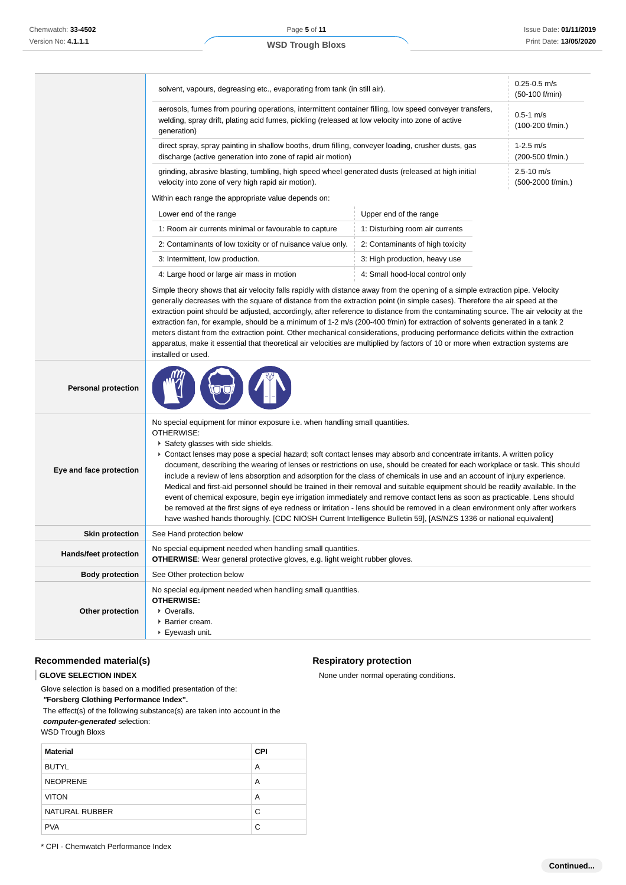|                              | solvent, vapours, degreasing etc., evaporating from tank (in still air).                                                                                                                                                                                                                                                                                                                                                                                                                                                                                                                                                                                                                                                                                                                                                                                                                                                                                                                                                               | $0.25 - 0.5$ m/s<br>(50-100 f/min)  |  |  |
|------------------------------|----------------------------------------------------------------------------------------------------------------------------------------------------------------------------------------------------------------------------------------------------------------------------------------------------------------------------------------------------------------------------------------------------------------------------------------------------------------------------------------------------------------------------------------------------------------------------------------------------------------------------------------------------------------------------------------------------------------------------------------------------------------------------------------------------------------------------------------------------------------------------------------------------------------------------------------------------------------------------------------------------------------------------------------|-------------------------------------|--|--|
|                              | aerosols, fumes from pouring operations, intermittent container filling, low speed conveyer transfers,<br>welding, spray drift, plating acid fumes, pickling (released at low velocity into zone of active<br>generation)<br>direct spray, spray painting in shallow booths, drum filling, conveyer loading, crusher dusts, gas<br>discharge (active generation into zone of rapid air motion)                                                                                                                                                                                                                                                                                                                                                                                                                                                                                                                                                                                                                                         |                                     |  |  |
|                              |                                                                                                                                                                                                                                                                                                                                                                                                                                                                                                                                                                                                                                                                                                                                                                                                                                                                                                                                                                                                                                        |                                     |  |  |
|                              | grinding, abrasive blasting, tumbling, high speed wheel generated dusts (released at high initial<br>velocity into zone of very high rapid air motion).                                                                                                                                                                                                                                                                                                                                                                                                                                                                                                                                                                                                                                                                                                                                                                                                                                                                                | $2.5 - 10$ m/s<br>(500-2000 f/min.) |  |  |
|                              | Within each range the appropriate value depends on:                                                                                                                                                                                                                                                                                                                                                                                                                                                                                                                                                                                                                                                                                                                                                                                                                                                                                                                                                                                    |                                     |  |  |
|                              | Lower end of the range                                                                                                                                                                                                                                                                                                                                                                                                                                                                                                                                                                                                                                                                                                                                                                                                                                                                                                                                                                                                                 | Upper end of the range              |  |  |
|                              | 1: Room air currents minimal or favourable to capture                                                                                                                                                                                                                                                                                                                                                                                                                                                                                                                                                                                                                                                                                                                                                                                                                                                                                                                                                                                  | 1: Disturbing room air currents     |  |  |
|                              | 2: Contaminants of low toxicity or of nuisance value only.                                                                                                                                                                                                                                                                                                                                                                                                                                                                                                                                                                                                                                                                                                                                                                                                                                                                                                                                                                             | 2: Contaminants of high toxicity    |  |  |
|                              | 3: Intermittent, low production.                                                                                                                                                                                                                                                                                                                                                                                                                                                                                                                                                                                                                                                                                                                                                                                                                                                                                                                                                                                                       | 3: High production, heavy use       |  |  |
|                              | 4: Large hood or large air mass in motion                                                                                                                                                                                                                                                                                                                                                                                                                                                                                                                                                                                                                                                                                                                                                                                                                                                                                                                                                                                              | 4: Small hood-local control only    |  |  |
|                              | Simple theory shows that air velocity falls rapidly with distance away from the opening of a simple extraction pipe. Velocity<br>generally decreases with the square of distance from the extraction point (in simple cases). Therefore the air speed at the<br>extraction point should be adjusted, accordingly, after reference to distance from the contaminating source. The air velocity at the<br>extraction fan, for example, should be a minimum of 1-2 m/s (200-400 f/min) for extraction of solvents generated in a tank 2<br>meters distant from the extraction point. Other mechanical considerations, producing performance deficits within the extraction<br>apparatus, make it essential that theoretical air velocities are multiplied by factors of 10 or more when extraction systems are<br>installed or used.                                                                                                                                                                                                      |                                     |  |  |
| <b>Personal protection</b>   |                                                                                                                                                                                                                                                                                                                                                                                                                                                                                                                                                                                                                                                                                                                                                                                                                                                                                                                                                                                                                                        |                                     |  |  |
| Eye and face protection      | No special equipment for minor exposure i.e. when handling small quantities.<br>OTHERWISE:<br>Safety glasses with side shields.<br>Contact lenses may pose a special hazard; soft contact lenses may absorb and concentrate irritants. A written policy<br>document, describing the wearing of lenses or restrictions on use, should be created for each workplace or task. This should<br>include a review of lens absorption and adsorption for the class of chemicals in use and an account of injury experience.<br>Medical and first-aid personnel should be trained in their removal and suitable equipment should be readily available. In the<br>event of chemical exposure, begin eye irrigation immediately and remove contact lens as soon as practicable. Lens should<br>be removed at the first signs of eye redness or irritation - lens should be removed in a clean environment only after workers<br>have washed hands thoroughly. [CDC NIOSH Current Intelligence Bulletin 59], [AS/NZS 1336 or national equivalent] |                                     |  |  |
| <b>Skin protection</b>       | See Hand protection below                                                                                                                                                                                                                                                                                                                                                                                                                                                                                                                                                                                                                                                                                                                                                                                                                                                                                                                                                                                                              |                                     |  |  |
| <b>Hands/feet protection</b> | No special equipment needed when handling small quantities.<br><b>OTHERWISE:</b> Wear general protective gloves, e.g. light weight rubber gloves.                                                                                                                                                                                                                                                                                                                                                                                                                                                                                                                                                                                                                                                                                                                                                                                                                                                                                      |                                     |  |  |
| <b>Body protection</b>       | See Other protection below                                                                                                                                                                                                                                                                                                                                                                                                                                                                                                                                                                                                                                                                                                                                                                                                                                                                                                                                                                                                             |                                     |  |  |
| Other protection             | No special equipment needed when handling small quantities.<br><b>OTHERWISE:</b><br>• Overalls.<br>▶ Barrier cream.                                                                                                                                                                                                                                                                                                                                                                                                                                                                                                                                                                                                                                                                                                                                                                                                                                                                                                                    |                                     |  |  |

### **Recommended material(s)**

#### **GLOVE SELECTION INDEX**

Glove selection is based on a modified presentation of the:

 **"Forsberg Clothing Performance Index".**

 The effect(s) of the following substance(s) are taken into account in the **computer-generated** selection:

Eyewash unit.

WSD Trough Bloxs

| <b>Material</b>       | <b>CPI</b> |
|-----------------------|------------|
| <b>BUTYL</b>          | A          |
| <b>NEOPRENE</b>       | A          |
| <b>VITON</b>          | A          |
| <b>NATURAL RUBBER</b> | C          |
| <b>PVA</b>            | C          |

### **Respiratory protection**

None under normal operating conditions.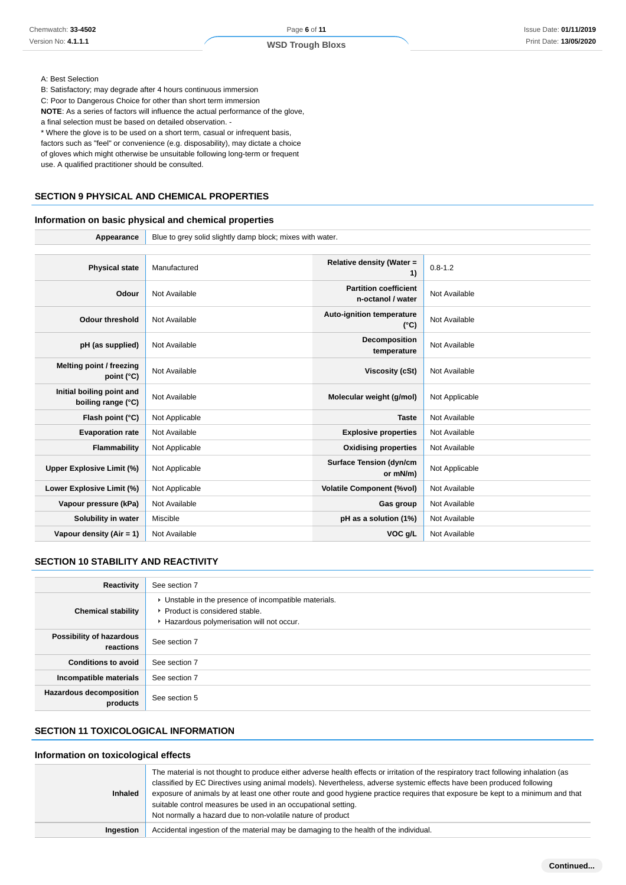#### A: Best Selection

B: Satisfactory; may degrade after 4 hours continuous immersion

C: Poor to Dangerous Choice for other than short term immersion

**NOTE**: As a series of factors will influence the actual performance of the glove, a final selection must be based on detailed observation. -

\* Where the glove is to be used on a short term, casual or infrequent basis,

factors such as "feel" or convenience (e.g. disposability), may dictate a choice

of gloves which might otherwise be unsuitable following long-term or frequent

use. A qualified practitioner should be consulted.

# **SECTION 9 PHYSICAL AND CHEMICAL PROPERTIES**

# **Information on basic physical and chemical properties**

**Appearance** Blue to grey solid slightly damp block; mixes with water.

| <b>Physical state</b>                           | Manufactured   | Relative density (Water =<br>1)                   | $0.8 - 1.2$    |
|-------------------------------------------------|----------------|---------------------------------------------------|----------------|
| Odour                                           | Not Available  | <b>Partition coefficient</b><br>n-octanol / water | Not Available  |
| <b>Odour threshold</b>                          | Not Available  | <b>Auto-ignition temperature</b><br>$(^{\circ}C)$ | Not Available  |
| pH (as supplied)                                | Not Available  | Decomposition<br>temperature                      | Not Available  |
| Melting point / freezing<br>point (°C)          | Not Available  | <b>Viscosity (cSt)</b>                            | Not Available  |
| Initial boiling point and<br>boiling range (°C) | Not Available  | Molecular weight (g/mol)                          | Not Applicable |
| Flash point (°C)                                | Not Applicable | <b>Taste</b>                                      | Not Available  |
| <b>Evaporation rate</b>                         | Not Available  | <b>Explosive properties</b>                       | Not Available  |
| Flammability                                    | Not Applicable | <b>Oxidising properties</b>                       | Not Available  |
| Upper Explosive Limit (%)                       | Not Applicable | <b>Surface Tension (dyn/cm</b><br>or mN/m)        | Not Applicable |
| Lower Explosive Limit (%)                       | Not Applicable | <b>Volatile Component (%vol)</b>                  | Not Available  |
| Vapour pressure (kPa)                           | Not Available  | Gas group                                         | Not Available  |
| Solubility in water                             | Miscible       | pH as a solution (1%)                             | Not Available  |
| Vapour density (Air = 1)                        | Not Available  | VOC g/L                                           | Not Available  |

# **SECTION 10 STABILITY AND REACTIVITY**

| Reactivity                                 | See section 7                                                                                                                        |
|--------------------------------------------|--------------------------------------------------------------------------------------------------------------------------------------|
| <b>Chemical stability</b>                  | • Unstable in the presence of incompatible materials.<br>▶ Product is considered stable.<br>Hazardous polymerisation will not occur. |
| Possibility of hazardous<br>reactions      | See section 7                                                                                                                        |
| <b>Conditions to avoid</b>                 | See section 7                                                                                                                        |
| Incompatible materials                     | See section 7                                                                                                                        |
| <b>Hazardous decomposition</b><br>products | See section 5                                                                                                                        |

# **SECTION 11 TOXICOLOGICAL INFORMATION**

### **Information on toxicological effects**

| <b>Inhaled</b> | The material is not thought to produce either adverse health effects or irritation of the respiratory tract following inhalation (as<br>classified by EC Directives using animal models). Nevertheless, adverse systemic effects have been produced following<br>exposure of animals by at least one other route and good hygiene practice requires that exposure be kept to a minimum and that<br>suitable control measures be used in an occupational setting.<br>Not normally a hazard due to non-volatile nature of product |
|----------------|---------------------------------------------------------------------------------------------------------------------------------------------------------------------------------------------------------------------------------------------------------------------------------------------------------------------------------------------------------------------------------------------------------------------------------------------------------------------------------------------------------------------------------|
| Ingestion      | Accidental ingestion of the material may be damaging to the health of the individual.                                                                                                                                                                                                                                                                                                                                                                                                                                           |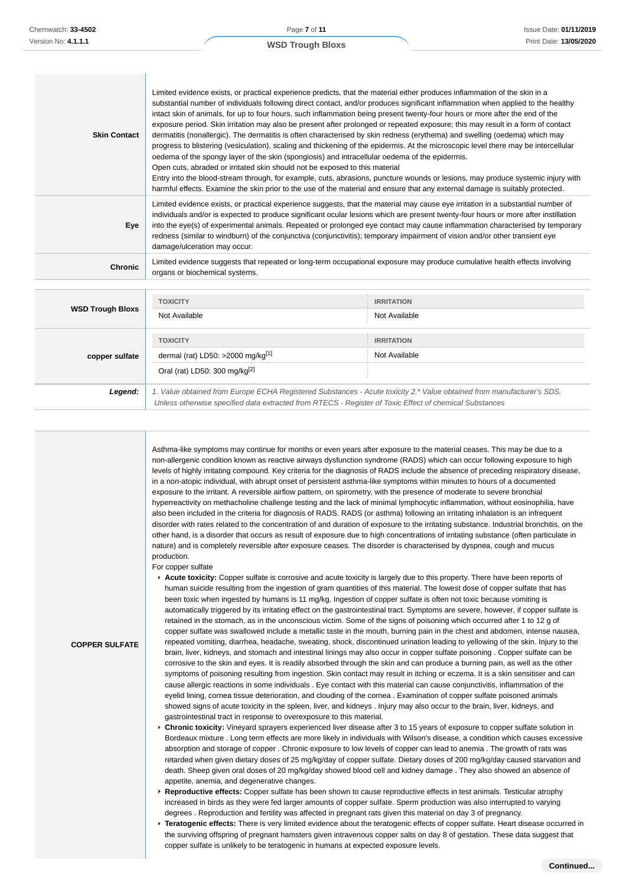| <b>Skin Contact</b>     | Limited evidence exists, or practical experience predicts, that the material either produces inflammation of the skin in a<br>substantial number of individuals following direct contact, and/or produces significant inflammation when applied to the healthy<br>intact skin of animals, for up to four hours, such inflammation being present twenty-four hours or more after the end of the<br>exposure period. Skin irritation may also be present after prolonged or repeated exposure; this may result in a form of contact<br>dermatitis (nonallergic). The dermatitis is often characterised by skin redness (erythema) and swelling (oedema) which may<br>progress to blistering (vesiculation), scaling and thickening of the epidermis. At the microscopic level there may be intercellular<br>oedema of the spongy layer of the skin (spongiosis) and intracellular oedema of the epidermis.<br>Open cuts, abraded or irritated skin should not be exposed to this material<br>Entry into the blood-stream through, for example, cuts, abrasions, puncture wounds or lesions, may produce systemic injury with<br>harmful effects. Examine the skin prior to the use of the material and ensure that any external damage is suitably protected. |                   |  |
|-------------------------|-------------------------------------------------------------------------------------------------------------------------------------------------------------------------------------------------------------------------------------------------------------------------------------------------------------------------------------------------------------------------------------------------------------------------------------------------------------------------------------------------------------------------------------------------------------------------------------------------------------------------------------------------------------------------------------------------------------------------------------------------------------------------------------------------------------------------------------------------------------------------------------------------------------------------------------------------------------------------------------------------------------------------------------------------------------------------------------------------------------------------------------------------------------------------------------------------------------------------------------------------------------|-------------------|--|
| Eye                     | Limited evidence exists, or practical experience suggests, that the material may cause eye irritation in a substantial number of<br>individuals and/or is expected to produce significant ocular lesions which are present twenty-four hours or more after instillation<br>into the eye(s) of experimental animals. Repeated or prolonged eye contact may cause inflammation characterised by temporary<br>redness (similar to windburn) of the conjunctiva (conjunctivitis); temporary impairment of vision and/or other transient eye<br>damage/ulceration may occur.                                                                                                                                                                                                                                                                                                                                                                                                                                                                                                                                                                                                                                                                                     |                   |  |
| <b>Chronic</b>          | Limited evidence suggests that repeated or long-term occupational exposure may produce cumulative health effects involving<br>organs or biochemical systems.                                                                                                                                                                                                                                                                                                                                                                                                                                                                                                                                                                                                                                                                                                                                                                                                                                                                                                                                                                                                                                                                                                |                   |  |
|                         |                                                                                                                                                                                                                                                                                                                                                                                                                                                                                                                                                                                                                                                                                                                                                                                                                                                                                                                                                                                                                                                                                                                                                                                                                                                             |                   |  |
|                         | <b>TOXICITY</b>                                                                                                                                                                                                                                                                                                                                                                                                                                                                                                                                                                                                                                                                                                                                                                                                                                                                                                                                                                                                                                                                                                                                                                                                                                             | <b>IRRITATION</b> |  |
| <b>WSD Trough Bloxs</b> | Not Available                                                                                                                                                                                                                                                                                                                                                                                                                                                                                                                                                                                                                                                                                                                                                                                                                                                                                                                                                                                                                                                                                                                                                                                                                                               | Not Available     |  |
|                         | <b>TOXICITY</b>                                                                                                                                                                                                                                                                                                                                                                                                                                                                                                                                                                                                                                                                                                                                                                                                                                                                                                                                                                                                                                                                                                                                                                                                                                             | <b>IRRITATION</b> |  |
|                         | dermal (rat) LD50: $>2000$ mg/kg <sup>[1]</sup>                                                                                                                                                                                                                                                                                                                                                                                                                                                                                                                                                                                                                                                                                                                                                                                                                                                                                                                                                                                                                                                                                                                                                                                                             | Not Available     |  |
| copper sulfate          |                                                                                                                                                                                                                                                                                                                                                                                                                                                                                                                                                                                                                                                                                                                                                                                                                                                                                                                                                                                                                                                                                                                                                                                                                                                             |                   |  |
|                         | Oral (rat) LD50: 300 mg/kg $^{[2]}$                                                                                                                                                                                                                                                                                                                                                                                                                                                                                                                                                                                                                                                                                                                                                                                                                                                                                                                                                                                                                                                                                                                                                                                                                         |                   |  |

**COPPER SULFATE**

**Legend:** 1. Value obtained from Europe ECHA Registered Substances - Acute toxicity 2.\* Value obtained from manufacturer's SDS. Unless otherwise specified data extracted from RTECS - Register of Toxic Effect of chemical Substances

Asthma-like symptoms may continue for months or even years after exposure to the material ceases. This may be due to a non-allergenic condition known as reactive airways dysfunction syndrome (RADS) which can occur following exposure to high levels of highly irritating compound. Key criteria for the diagnosis of RADS include the absence of preceding respiratory disease, in a non-atopic individual, with abrupt onset of persistent asthma-like symptoms within minutes to hours of a documented exposure to the irritant. A reversible airflow pattern, on spirometry, with the presence of moderate to severe bronchial hyperreactivity on methacholine challenge testing and the lack of minimal lymphocytic inflammation, without eosinophilia, have also been included in the criteria for diagnosis of RADS. RADS (or asthma) following an irritating inhalation is an infrequent disorder with rates related to the concentration of and duration of exposure to the irritating substance. Industrial bronchitis, on the other hand, is a disorder that occurs as result of exposure due to high concentrations of irritating substance (often particulate in nature) and is completely reversible after exposure ceases. The disorder is characterised by dyspnea, cough and mucus production.

For copper sulfate

- **Acute toxicity:** Copper sulfate is corrosive and acute toxicity is largely due to this property. There have been reports of human suicide resulting from the ingestion of gram quantities of this material. The lowest dose of copper sulfate that has been toxic when ingested by humans is 11 mg/kg. Ingestion of copper sulfate is often not toxic because vomiting is automatically triggered by its irritating effect on the gastrointestinal tract. Symptoms are severe, however, if copper sulfate is retained in the stomach, as in the unconscious victim. Some of the signs of poisoning which occurred after 1 to 12 g of copper sulfate was swallowed include a metallic taste in the mouth, burning pain in the chest and abdomen, intense nausea, repeated vomiting, diarrhea, headache, sweating, shock, discontinued urination leading to yellowing of the skin. Injury to the brain, liver, kidneys, and stomach and intestinal linings may also occur in copper sulfate poisoning . Copper sulfate can be corrosive to the skin and eyes. It is readily absorbed through the skin and can produce a burning pain, as well as the other symptoms of poisoning resulting from ingestion. Skin contact may result in itching or eczema. It is a skin sensitiser and can cause allergic reactions in some individuals . Eye contact with this material can cause conjunctivitis, inflammation of the eyelid lining, cornea tissue deterioration, and clouding of the cornea . Examination of copper sulfate poisoned animals showed signs of acute toxicity in the spleen, liver, and kidneys . Injury may also occur to the brain, liver, kidneys, and gastrointestinal tract in response to overexposure to this material.
- **Chronic toxicity:** Vineyard sprayers experienced liver disease after 3 to 15 years of exposure to copper sulfate solution in Bordeaux mixture . Long term effects are more likely in individuals with Wilson's disease, a condition which causes excessive absorption and storage of copper . Chronic exposure to low levels of copper can lead to anemia . The growth of rats was retarded when given dietary doses of 25 mg/kg/day of copper sulfate. Dietary doses of 200 mg/kg/day caused starvation and death. Sheep given oral doses of 20 mg/kg/day showed blood cell and kidney damage . They also showed an absence of appetite, anemia, and degenerative changes.
- **Reproductive effects:** Copper sulfate has been shown to cause reproductive effects in test animals. Testicular atrophy increased in birds as they were fed larger amounts of copper sulfate. Sperm production was also interrupted to varying degrees . Reproduction and fertility was affected in pregnant rats given this material on day 3 of pregnancy.
- **Teratogenic effects:** There is very limited evidence about the teratogenic effects of copper sulfate. Heart disease occurred in the surviving offspring of pregnant hamsters given intravenous copper salts on day 8 of gestation. These data suggest that copper sulfate is unlikely to be teratogenic in humans at expected exposure levels.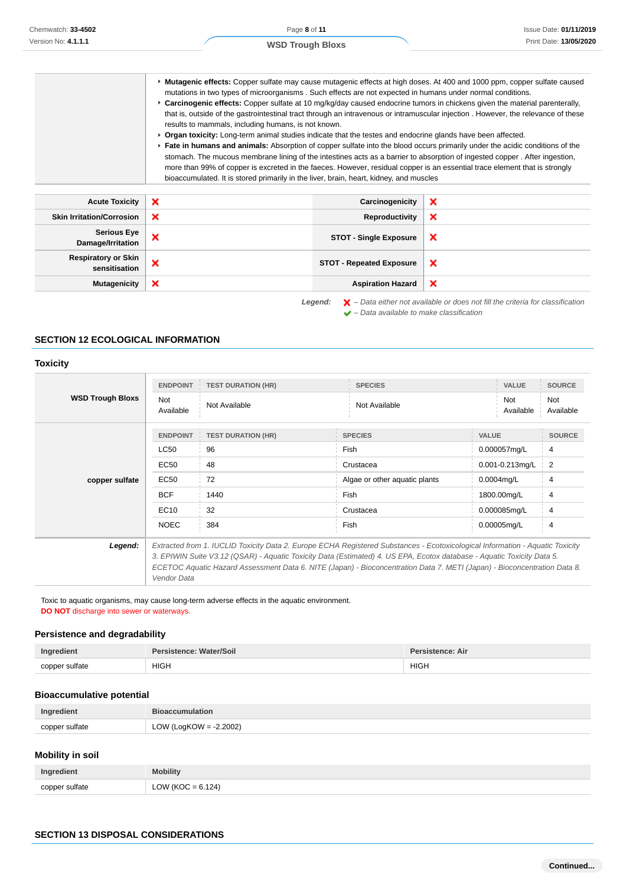|                                         | ► Mutagenic effects: Copper sulfate may cause mutagenic effects at high doses. At 400 and 1000 ppm, copper sulfate caused<br>mutations in two types of microorganisms. Such effects are not expected in humans under normal conditions.<br>► Carcinogenic effects: Copper sulfate at 10 mg/kg/day caused endocrine tumors in chickens given the material parenterally,<br>that is, outside of the gastrointestinal tract through an intravenous or intramuscular injection. However, the relevance of these<br>results to mammals, including humans, is not known.<br>▶ Organ toxicity: Long-term animal studies indicate that the testes and endocrine glands have been affected.<br>Fate in humans and animals: Absorption of copper sulfate into the blood occurs primarily under the acidic conditions of the<br>stomach. The mucous membrane lining of the intestines acts as a barrier to absorption of ingested copper. After ingestion,<br>more than 99% of copper is excreted in the faeces. However, residual copper is an essential trace element that is strongly<br>bioaccumulated. It is stored primarily in the liver, brain, heart, kidney, and muscles |                               |   |
|-----------------------------------------|-------------------------------------------------------------------------------------------------------------------------------------------------------------------------------------------------------------------------------------------------------------------------------------------------------------------------------------------------------------------------------------------------------------------------------------------------------------------------------------------------------------------------------------------------------------------------------------------------------------------------------------------------------------------------------------------------------------------------------------------------------------------------------------------------------------------------------------------------------------------------------------------------------------------------------------------------------------------------------------------------------------------------------------------------------------------------------------------------------------------------------------------------------------------------|-------------------------------|---|
| <b>Acute Toxicity</b>                   | ×                                                                                                                                                                                                                                                                                                                                                                                                                                                                                                                                                                                                                                                                                                                                                                                                                                                                                                                                                                                                                                                                                                                                                                       | Carcinogenicity               | × |
| <b>Skin Irritation/Corrosion</b>        | ×                                                                                                                                                                                                                                                                                                                                                                                                                                                                                                                                                                                                                                                                                                                                                                                                                                                                                                                                                                                                                                                                                                                                                                       | Reproductivity                | × |
| <b>Serious Eye</b><br>Damage/Irritation | ×                                                                                                                                                                                                                                                                                                                                                                                                                                                                                                                                                                                                                                                                                                                                                                                                                                                                                                                                                                                                                                                                                                                                                                       | <b>STOT - Single Exposure</b> | × |

| <b>Respiratory or Skin</b><br>sensitisation                                                                                                                               |  | STOT - Repeated Exposure   X |  |
|---------------------------------------------------------------------------------------------------------------------------------------------------------------------------|--|------------------------------|--|
| Mutagenicity   X                                                                                                                                                          |  | Aspiration Hazard   X        |  |
| <b>Legend:</b> $\mathbf{X}$ – Data either not available or does not fill the criteria for classification<br>$\blacktriangleright$ - Data available to make classification |  |                              |  |

#### **SECTION 12 ECOLOGICAL INFORMATION**

### **Toxicity**

| <b>WSD Trough Bloxs</b> | <b>ENDPOINT</b><br><b>Not</b><br>Available | <b>TEST DURATION (HR)</b><br>Not Available | <b>SPECIES</b><br>Not Available                                                                                                                                                                                                                                                                                                                                                     | <b>VALUE</b><br>Not<br>Available | <b>SOURCE</b><br>Not<br>Available |
|-------------------------|--------------------------------------------|--------------------------------------------|-------------------------------------------------------------------------------------------------------------------------------------------------------------------------------------------------------------------------------------------------------------------------------------------------------------------------------------------------------------------------------------|----------------------------------|-----------------------------------|
|                         | <b>ENDPOINT</b>                            | <b>TEST DURATION (HR)</b>                  | <b>SPECIES</b>                                                                                                                                                                                                                                                                                                                                                                      | <b>VALUE</b>                     | <b>SOURCE</b>                     |
|                         | <b>LC50</b>                                | 96                                         | Fish                                                                                                                                                                                                                                                                                                                                                                                | 0.000057mg/L                     | 4                                 |
|                         | EC50                                       | 48                                         | Crustacea                                                                                                                                                                                                                                                                                                                                                                           | 0.001-0.213mg/L                  | $\overline{2}$                    |
| copper sulfate          | <b>EC50</b>                                | 72                                         | Algae or other aquatic plants                                                                                                                                                                                                                                                                                                                                                       | $0.0004$ mg/L                    | 4                                 |
|                         | <b>BCF</b>                                 | 1440                                       | Fish                                                                                                                                                                                                                                                                                                                                                                                | 1800.00mg/L                      | 4                                 |
|                         | EC10                                       | 32                                         | Crustacea                                                                                                                                                                                                                                                                                                                                                                           | 0.000085mg/L                     | 4                                 |
|                         | <b>NOEC</b>                                | 384                                        | Fish                                                                                                                                                                                                                                                                                                                                                                                | 0.00005mg/L                      | $\overline{4}$                    |
| Legend:                 | Vendor Data                                |                                            | Extracted from 1. IUCLID Toxicity Data 2. Europe ECHA Registered Substances - Ecotoxicological Information - Aquatic Toxicity<br>3. EPIWIN Suite V3.12 (QSAR) - Aquatic Toxicity Data (Estimated) 4. US EPA, Ecotox database - Aquatic Toxicity Data 5.<br>ECETOC Aquatic Hazard Assessment Data 6. NITE (Japan) - Bioconcentration Data 7. METI (Japan) - Bioconcentration Data 8. |                                  |                                   |

Toxic to aquatic organisms, may cause long-term adverse effects in the aquatic environment. **DO NOT** discharge into sewer or waterways.

# **Persistence and degradability**

| Ingredient     | Persistence: Water/Soil | Persistence: Air |
|----------------|-------------------------|------------------|
| copper sulfate | <b>HIGH</b>             | <b>HIGH</b>      |
| .              |                         |                  |

### **Bioaccumulative potential**

| Ingredient     | <b>Bioaccumulation</b>    |
|----------------|---------------------------|
| copper sulfate | LOW (LogKOW = $-2.2002$ ) |

### **Mobility in soil**

| Ingredient     | <b>Mobility</b>      |
|----------------|----------------------|
| copper sulfate | LOW (KOC = $6.124$ ) |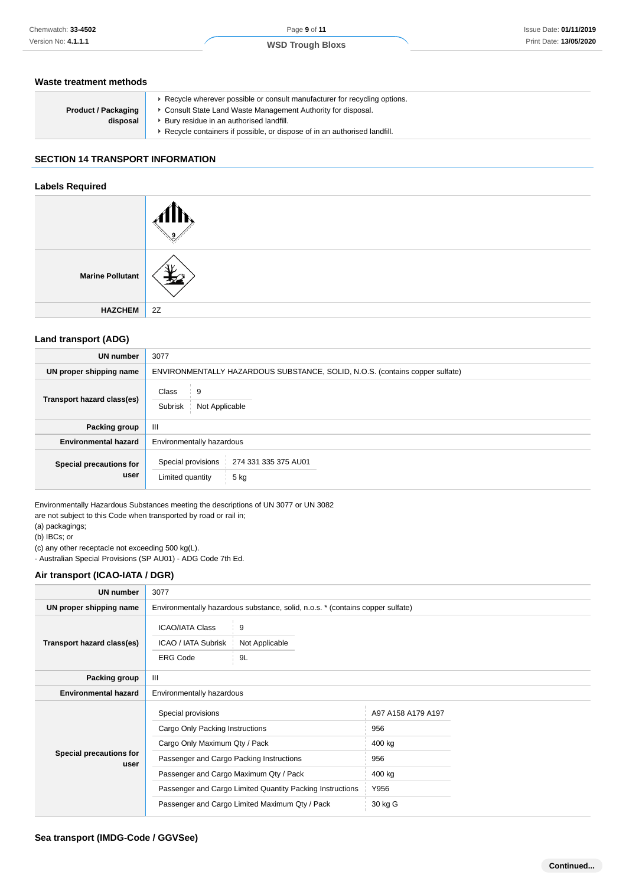### **Waste treatment methods**

| <b>Product / Packaging</b><br>disposal | ► Recycle wherever possible or consult manufacturer for recycling options.<br>• Consult State Land Waste Management Authority for disposal.<br>▶ Bury residue in an authorised landfill.<br>▶ Recycle containers if possible, or dispose of in an authorised landfill. |
|----------------------------------------|------------------------------------------------------------------------------------------------------------------------------------------------------------------------------------------------------------------------------------------------------------------------|
|----------------------------------------|------------------------------------------------------------------------------------------------------------------------------------------------------------------------------------------------------------------------------------------------------------------------|

# **SECTION 14 TRANSPORT INFORMATION**

#### **Labels Required**

| <b>Marine Pollutant</b> |    |
|-------------------------|----|
| <b>HAZCHEM</b>          | 2Z |

### **Land transport (ADG)**

| <b>UN number</b>                | 3077                                                                         |
|---------------------------------|------------------------------------------------------------------------------|
| UN proper shipping name         | ENVIRONMENTALLY HAZARDOUS SUBSTANCE, SOLID, N.O.S. (contains copper sulfate) |
| Transport hazard class(es)      | 9<br>Class<br>Subrisk<br>Not Applicable                                      |
| Packing group                   | Ш                                                                            |
| <b>Environmental hazard</b>     | Environmentally hazardous                                                    |
| Special precautions for<br>user | Special provisions<br>274 331 335 375 AU01<br>Limited quantity<br>5 kg       |

Environmentally Hazardous Substances meeting the descriptions of UN 3077 or UN 3082 are not subject to this Code when transported by road or rail in;

(a) packagings;

(b) IBCs; or

(c) any other receptacle not exceeding 500 kg(L).

- Australian Special Provisions (SP AU01) - ADG Code 7th Ed.

#### **Air transport (ICAO-IATA / DGR)**

| <b>UN number</b>                | 3077                                           |                                                                                |                    |  |
|---------------------------------|------------------------------------------------|--------------------------------------------------------------------------------|--------------------|--|
| UN proper shipping name         |                                                | Environmentally hazardous substance, solid, n.o.s. * (contains copper sulfate) |                    |  |
| Transport hazard class(es)      | <b>ICAO/IATA Class</b><br>ICAO / IATA Subrisk  | 9<br>Not Applicable                                                            |                    |  |
|                                 | <b>ERG Code</b>                                | 9L                                                                             |                    |  |
| Packing group                   | $\mathbf{III}$                                 |                                                                                |                    |  |
| <b>Environmental hazard</b>     | Environmentally hazardous                      |                                                                                |                    |  |
| Special precautions for<br>user | Special provisions                             |                                                                                | A97 A158 A179 A197 |  |
|                                 | Cargo Only Packing Instructions                |                                                                                | 956                |  |
|                                 | Cargo Only Maximum Qty / Pack                  |                                                                                | 400 kg             |  |
|                                 | Passenger and Cargo Packing Instructions       |                                                                                | 956                |  |
|                                 | Passenger and Cargo Maximum Qty / Pack         |                                                                                | 400 kg             |  |
|                                 |                                                | Passenger and Cargo Limited Quantity Packing Instructions                      | Y956               |  |
|                                 | Passenger and Cargo Limited Maximum Qty / Pack |                                                                                | 30 kg G            |  |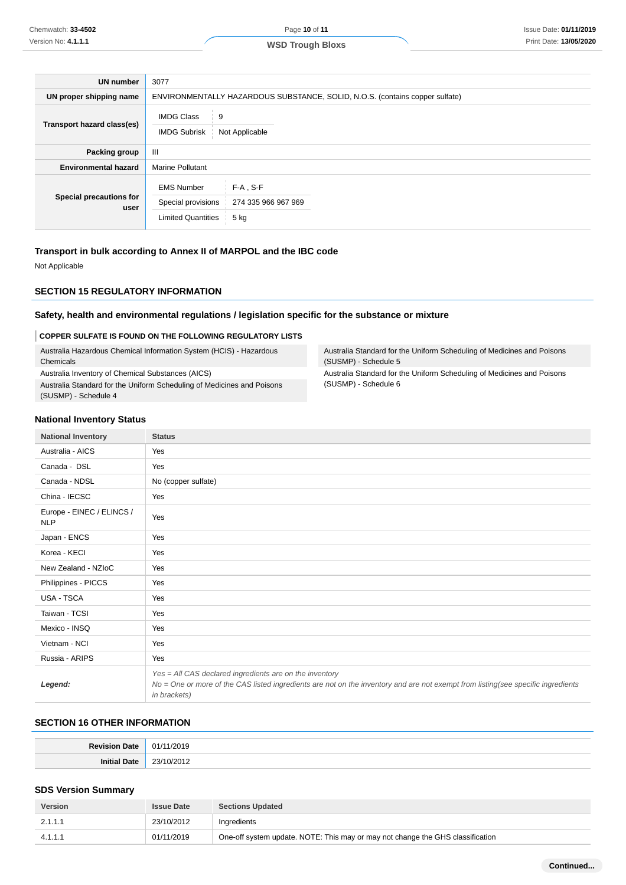**WSD Trough Bloxs**

| <b>UN number</b>                | 3077                                                                 |                                                                              |  |  |
|---------------------------------|----------------------------------------------------------------------|------------------------------------------------------------------------------|--|--|
| UN proper shipping name         |                                                                      | ENVIRONMENTALLY HAZARDOUS SUBSTANCE, SOLID, N.O.S. (contains copper sulfate) |  |  |
| Transport hazard class(es)      | <b>IMDG Class</b><br>9<br><b>IMDG Subrisk</b><br>Not Applicable      |                                                                              |  |  |
| Packing group                   | Ш                                                                    |                                                                              |  |  |
| <b>Environmental hazard</b>     | Marine Pollutant                                                     |                                                                              |  |  |
| Special precautions for<br>user | <b>EMS Number</b><br>Special provisions<br><b>Limited Quantities</b> | $F-A$ , S-F<br>274 335 966 967 969<br>5 kg                                   |  |  |

### **Transport in bulk according to Annex II of MARPOL and the IBC code**

Not Applicable

### **SECTION 15 REGULATORY INFORMATION**

### **Safety, health and environmental regulations / legislation specific for the substance or mixture**

#### **COPPER SULFATE IS FOUND ON THE FOLLOWING REGULATORY LISTS**

| Australia Hazardous Chemical Information System (HCIS) - Hazardous<br>Chemicals                | Australia<br>(SUSMF |
|------------------------------------------------------------------------------------------------|---------------------|
| Australia Inventory of Chemical Substances (AICS)                                              | Australia           |
| Australia Standard for the Uniform Scheduling of Medicines and Poisons<br>(SUSMP) - Schedule 4 | (SUSMF              |

a Standard for the Uniform Scheduling of Medicines and Poisons P) - Schedule 5 a Standard for the Uniform Scheduling of Medicines and Poisons P) - Schedule 6

#### **National Inventory Status**

| <b>National Inventory</b>               | <b>Status</b>                                                                                                                                                                                               |
|-----------------------------------------|-------------------------------------------------------------------------------------------------------------------------------------------------------------------------------------------------------------|
| Australia - AICS                        | Yes                                                                                                                                                                                                         |
| Canada - DSL                            | Yes                                                                                                                                                                                                         |
| Canada - NDSL                           | No (copper sulfate)                                                                                                                                                                                         |
| China - IECSC                           | Yes                                                                                                                                                                                                         |
| Europe - EINEC / ELINCS /<br><b>NLP</b> | Yes                                                                                                                                                                                                         |
| Japan - ENCS                            | Yes                                                                                                                                                                                                         |
| Korea - KECI                            | Yes                                                                                                                                                                                                         |
| New Zealand - NZIoC                     | Yes                                                                                                                                                                                                         |
| Philippines - PICCS                     | Yes                                                                                                                                                                                                         |
| USA - TSCA                              | Yes                                                                                                                                                                                                         |
| Taiwan - TCSI                           | Yes                                                                                                                                                                                                         |
| Mexico - INSQ                           | Yes                                                                                                                                                                                                         |
| Vietnam - NCI                           | Yes                                                                                                                                                                                                         |
| Russia - ARIPS                          | Yes                                                                                                                                                                                                         |
| Legend:                                 | Yes = All CAS declared ingredients are on the inventory<br>No = One or more of the CAS listed ingredients are not on the inventory and are not exempt from listing(see specific ingredients<br>in brackets) |

### **SECTION 16 OTHER INFORMATION**

### **SDS Version Summary**

| <b>Version</b> | <b>Issue Date</b> | <b>Sections Updated</b>                                                        |
|----------------|-------------------|--------------------------------------------------------------------------------|
| 2.1.1.1        | 23/10/2012        | Ingredients                                                                    |
| 4.1.1.1        | 01/11/2019        | One-off system update. NOTE: This may or may not change the GHS classification |